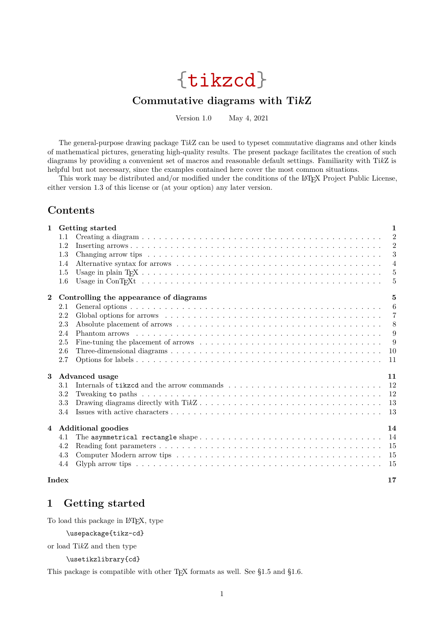# {tikzcd}

# **Commutative diagrams with Ti***k***Z**

Version 1.0 May 4, 2021

<span id="page-0-1"></span>The general-purpose drawing package Ti*k*Z can be used to typeset commutative diagrams and other kinds of mathematical pictures, generating high-quality results. The present package facilitates the creation of such diagrams by providing a convenient set of macros and reasonable default settings. Familiarity with Ti*k*Z is helpful but not necessary, since the examples contained here cover the most common situations.

This work may be distributed and/or modified under the conditions of the LATEX Project Public License, either version 1.3 of this license or (at your option) any later version.

# **Contents**

| $\mathbf{1}$   |         | Getting started                        | 1              |
|----------------|---------|----------------------------------------|----------------|
|                | 1.1     |                                        | $\overline{2}$ |
|                | 1.2     |                                        | $\overline{2}$ |
|                | 1.3     |                                        | 3              |
|                | 1.4     |                                        | $\overline{4}$ |
|                | $1.5\,$ |                                        | 5              |
|                | 1.6     |                                        | 5              |
| $\overline{2}$ |         | Controlling the appearance of diagrams | $\mathbf{5}$   |
|                | 2.1     |                                        | 6              |
|                | 2.2     |                                        | 7              |
|                | 2.3     |                                        | 8              |
|                | 2.4     |                                        | 9              |
|                | 2.5     |                                        | 9              |
|                | 2.6     |                                        | 10             |
|                | 2.7     |                                        | 11             |
| 3              |         | Advanced usage                         | 11             |
|                | 3.1     |                                        | 12             |
|                | 3.2     |                                        | 12             |
|                | 3.3     |                                        | 13             |
|                | 3.4     |                                        | 13             |
| $\overline{4}$ |         | <b>Additional goodies</b>              | 14             |
|                | 4.1     |                                        | 14             |
|                | 4.2     |                                        | 15             |
|                | 4.3     |                                        | 15             |
|                | 4.4     |                                        | 15             |
|                | Index   |                                        | 17             |

# <span id="page-0-0"></span>**1 Getting started**

To load this package in LATEX, type

\usepackage{tikz-cd}

or load Ti*k*Z and then type

\usetikzlibrary{cd}

This package is compatible with other T<sub>E</sub>X formats as well. See [§1.5](#page-4-0) and [§1.6.](#page-4-1)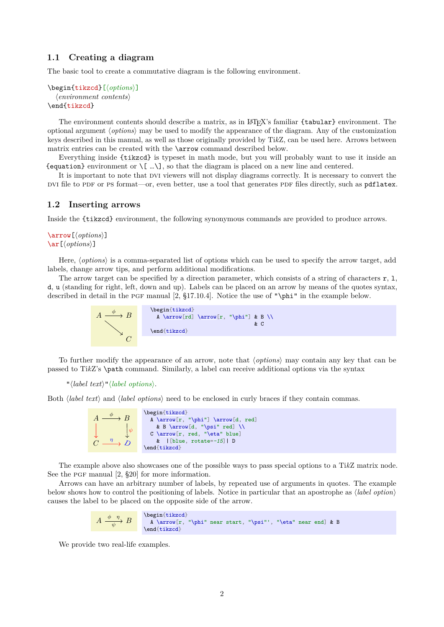#### <span id="page-1-5"></span><span id="page-1-0"></span>**1.1 Creating a diagram**

The basic tool to create a commutative diagram is the following environment.

```
\begin{tikzcd}[\options)]
  henvironment contentsi
\end{tikzcd}
```
The environment contents should describe a matrix, as in LATEX's familiar {tabular} environment. The optional argument h*options*i may be used to modify the appearance of the diagram. Any of the customization keys described in this manual, as well as those originally provided by Ti*k*Z, can be used here. Arrows between matrix entries can be created with the [\arrow](#page-1-2) command described below.

Everything inside [{tikzcd}](#page-1-3) is typeset in math mode, but you will probably want to use it inside an {equation} environment or  $\{ \ldots \}$ , so that the diagram is placed on a new line and centered.

It is important to note that DVI viewers will not display diagrams correctly. It is necessary to convert the DVI file to PDF or PS format—or, even better, use a tool that generates PDF files directly, such as pdflatex.

#### <span id="page-1-1"></span>**1.2 Inserting arrows**

Inside the [{tikzcd}](#page-1-3) environment, the following synonymous commands are provided to produce arrows.

<span id="page-1-4"></span><span id="page-1-2"></span>\arrow[\*options*\]  $\ar[\langle options\rangle]$ 

Here,  $\langle options \rangle$  is a comma-separated list of options which can be used to specify the arrow target, add labels, change arrow tips, and perform additional modifications.

The arrow target can be specified by a direction parameter, which consists of a string of characters  $\mathbf{r}$ , 1, d, u (standing for right, left, down and up). Labels can be placed on an arrow by means of the quotes syntax, described in detail in the pgf manual [\[2,](#page-15-0) §17.10.4]. Notice the use of "\phi" in the example below.



To further modify the appearance of an arrow, note that  $\langle options \rangle$  may contain any key that can be passed to Ti*k*Z's \path command. Similarly, a label can receive additional options via the syntax

 $"\langle label \text{ text}\rangle"\langle label \text{ options}\rangle.$ 

Both *(label text)* and *(label options)* need to be enclosed in curly braces if they contain commas.



The example above also showcases one of the possible ways to pass special options to a Ti*k*Z matrix node. See the PGF manual  $[2, §20]$  for more information.

Arrows can have an arbitrary number of labels, by repeated use of arguments in quotes. The example below shows how to control the positioning of labels. Notice in particular that an apostrophe as  $\langle label\ option \rangle$ causes the label to be placed on the opposite side of the arrow.

$$
A \xrightarrow{\phi} B
$$
\n
$$
\left\{\n \begin{array}{c}\n \begin{array}{c}\n \begin{array}{c}\n \Delta \arrow[r, "\\phi" \ \text{near start}, "\\psi" \ \text{near end} \ \text{that}\n \end{array}\n\end{array}\n\right.
$$

We provide two real-life examples.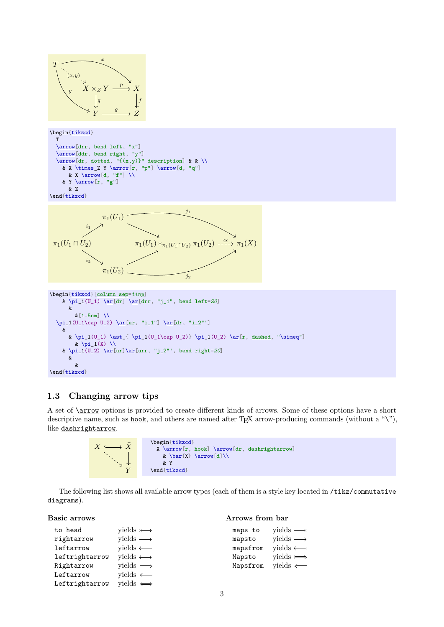<span id="page-2-3"></span>

### <span id="page-2-0"></span>**1.3 Changing arrow tips**

A set of [\arrow](#page-1-2) options is provided to create different kinds of arrows. Some of these options have a short descriptive name, such as [hook](#page-3-2), and others are named after TFX arrow-producing commands (without a " $\langle$ "), like [dashrightarrow](#page-3-3).



The following list shows all available arrow types (each of them is a style key located in /tikz/commutative diagrams).

**Arrows from bar**

#### **Basic arrows**

<span id="page-2-2"></span><span id="page-2-1"></span>

| to head        | yields $\longleftarrow$      | maps to  | vields $\longrightarrow$ |
|----------------|------------------------------|----------|--------------------------|
| rightarrow     | yields $\longrightarrow$     | mapsto   | yields $\longmapsto$     |
| leftarrow      | $yields \longleftarrow$      | mapsfrom | $vields \longleftarrow$  |
| leftrightarrow | yields $\longleftrightarrow$ | Mapsto   | yields $\Longrightarrow$ |
| Rightarrow     | yields $\Longrightarrow$     | Mapsfrom | $yields \leftarrow$      |
| Leftarrow      | $yields \leftarrow$          |          |                          |
| Leftrightarrow | yields $\iff$                |          |                          |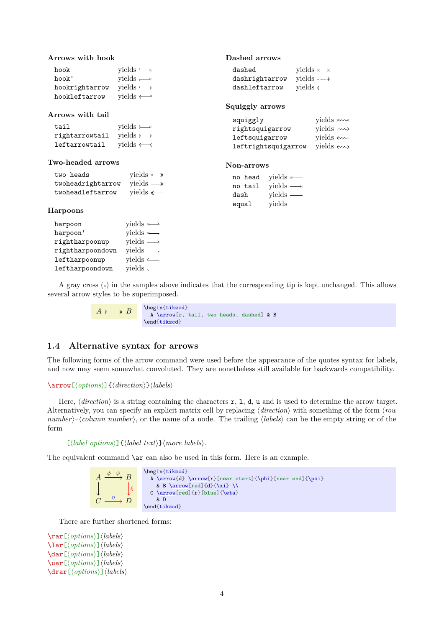#### <span id="page-3-6"></span>**Arrows with hook**

<span id="page-3-2"></span>

| hook           | yields $\longrightarrow$ |
|----------------|--------------------------|
| hook'          | yields $\longrightarrow$ |
| hookrightarrow | vields $\longrightarrow$ |
| hookleftarrow  | yields $\longleftarrow$  |

#### **Arrows with tail**

<span id="page-3-4"></span>

| tail           | yields $\rightarrowtail$ |
|----------------|--------------------------|
| rightarrowtail | vields $\rightarrowtail$ |
| leftarrowtail  | yields $\leftarrow$      |

#### **Two-headed arrows**

<span id="page-3-5"></span>

| two heads         | vields $\rightarrow$     |
|-------------------|--------------------------|
| twoheadrightarrow | vields $\longrightarrow$ |
| twoheadleftarrow  | yields $\longleftarrow$  |

#### **Harpoons**

| harpoon          | yields $\longleftarrow$  |
|------------------|--------------------------|
| harpoon'         | yields $\longleftarrow$  |
| rightharpoonup   | yields $\longrightarrow$ |
| rightharpoondown | yields $\longrightarrow$ |
| leftharpoonup    | yields $\longleftarrow$  |
| leftharpoondown  | yields $\longleftarrow$  |

#### **Dashed arrows**

<span id="page-3-3"></span><span id="page-3-1"></span>

| dashed         | vields $\times$ - $\times$                    |
|----------------|-----------------------------------------------|
| dashrightarrow | vields $---\rightarrow$                       |
| dashleftarrow  | yields $\leftarrow$ $\leftarrow$ $\leftarrow$ |

#### **Squiggly arrows**

| squiggly            | yields $\ast \rightsquigarrow$ |
|---------------------|--------------------------------|
| rightsquigarrow     | vields $\rightarrow$           |
| leftsquigarrow      | vields $\leftarrow$            |
| leftrightsquigarrow | yields $\leftrightarrow$       |

#### **Non-arrows**

|       | no head | yields $\longleftarrow$  |  |
|-------|---------|--------------------------|--|
|       | no tail | yields $\longrightarrow$ |  |
| dash  |         | yields $\_\_$            |  |
| equal |         | $yields \equiv$          |  |

A gray cross  $(\times)$  in the samples above indicates that the corresponding tip is kept unchanged. This allows several arrow styles to be superimposed.

> $A \rightarrow --\rightarrow B$ \begin[{tikzcd}](#page-1-3) A [\arrow\[](#page-1-2)r, [tail,](#page-3-4) [two heads,](#page-3-5) [dashed\]](#page-3-1) & B \end[{tikzcd}](#page-1-3)

#### <span id="page-3-0"></span>**1.4 Alternative syntax for arrows**

The following forms of the arrow command were used before the appearance of the quotes syntax for labels, and now may seem somewhat convoluted. They are nonetheless still available for backwards compatibility.

#### \arrow[h*options*i]{h*direction*i}h*labels*i

Here,  $\langle direction \rangle$  is a string containing the characters r, 1, d, u and is used to determine the arrow target. Alternatively, you can specify an explicit matrix cell by replacing *direction*) with something of the form *(row*) *number*)- $\langle column\ number \rangle$ , or the name of a node. The trailing  $\langle labels \rangle$  can be the empty string or of the form

 $\left[\langle label\ options\rangle\right]\left\{\langle label\ text\rangle\right\}\langle more\ labels\rangle.$ 

The equivalent command  $\ar$  can also be used in this form. Here is an example.

```
A \xrightarrow{\phi \quad \psi} BC\stackrel{\eta}{\longrightarrow} Dξ
      η
                    \begin{tikzcd}
                      \Lambda\arrow{d} \arrow{r}[near start]{\phi}[near end]{\psi}
                        \arrow[red]{d}{\xi} \\
                      C \arrow \text{red} \{r\}[blue]{\eta}
                         & D
                    {tikzcd}
```
There are further shortened forms:

```
\rar[hoptionsi]hlabelsi
\lar[hoptionsi]hlabelsi
\dar[hoptionsi]hlabelsi
\uar[hoptionsi]hlabelsi
\drar[hoptionsi]hlabelsi
```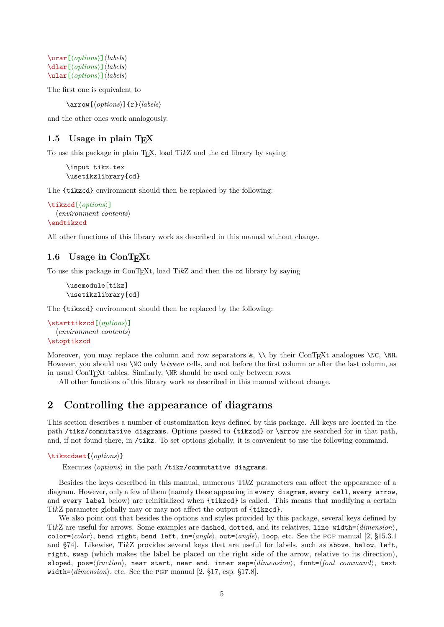<span id="page-4-4"></span>\urar[h*options*i]h*labels*i \dlar[h*options*i]h*labels*i \ular[h*options*i]h*labels*i

The first one is equivalent to

[\arrow\[](#page-1-2)h*options*i]{r}h*labels*i

and the other ones work analogously.

#### <span id="page-4-0"></span>1.5 Usage in plain T<sub>F</sub>X

To use this package in plain TEX, load Ti*k*Z and the cd library by saying

```
\input tikz.tex
\usetikzlibrary{cd}
```
The [{tikzcd}](#page-1-3) environment should then be replaced by the following:

```
\tikzcd[\options\]
  henvironment contentsi
\endtikzcd
```
All other functions of this library work as described in this manual without change.

### <span id="page-4-1"></span>1.6 Usage in ConT<sub>EXt</sub>

To use this package in ConTEXt, load Ti*k*Z and then the cd library by saying

```
\usemodule[tikz]
\usetikzlibrary[cd]
```
The [{tikzcd}](#page-1-3) environment should then be replaced by the following:

```
\starttikzcd[\options\]
  henvironment contentsi
\stoptikzcd
```
Moreover, you may replace the column and row separators  $\&$ ,  $\setminus \&$  their ConTEXt analogues  $\setminus \&$ . However, you should use \NC only *between* cells, and not before the first column or after the last column, as in usual ConTEXt tables. Similarly, \NR should be used only between rows.

All other functions of this library work as described in this manual without change.

# <span id="page-4-2"></span>**2 Controlling the appearance of diagrams**

This section describes a number of customization keys defined by this package. All keys are located in the path /tikz/commutative diagrams. Options passed to [{tikzcd}](#page-1-3) or [\arrow](#page-1-2) are searched for in that path, and, if not found there, in /tikz. To set options globally, it is convenient to use the following command.

#### <span id="page-4-3"></span>\tikzcdset{\*options*}}

Executes  $\langle options \rangle$  in the path /tikz/commutative diagrams.

Besides the keys described in this manual, numerous Ti*k*Z parameters can affect the appearance of a diagram. However, only a few of them (namely those appearing in [every diagram](#page-5-2), [every cell](#page-5-3), [every arrow](#page-6-1), and [every label](#page-10-2) below) are reinitialized when [{tikzcd}](#page-1-3) is called. This means that modifying a certain Ti*k*Z parameter globally may or may not affect the output of [{tikzcd}](#page-1-3).

We also point out that besides the options and styles provided by this package, several keys defined by TikZ are useful for arrows. Some examples are dashed, dotted, and its relatives, line width= $\langle dimension \rangle$ , color= $\langle color \rangle$ , bend right, bend left, in= $\langle angle \rangle$ , out= $\langle angle \rangle$ , loop, etc. See the PGF manual [\[2,](#page-15-0) §15.3.1] and §74]. Likewise, Ti*k*Z provides several keys that are useful for labels, such as above, below, left, right, swap (which makes the label be placed on the right side of the arrow, relative to its direction), sloped, pos= $\frac{fraction}{h}$ , near start, near end, inner sep= $\frac{dimension}{h}$ , font= $\frac{fcont}{cont}$  *command* $\frac{h}{h}$ , text width= $\langle dimension \rangle$ , etc. See the PGF manual [\[2,](#page-15-0) §17, esp. §17.8].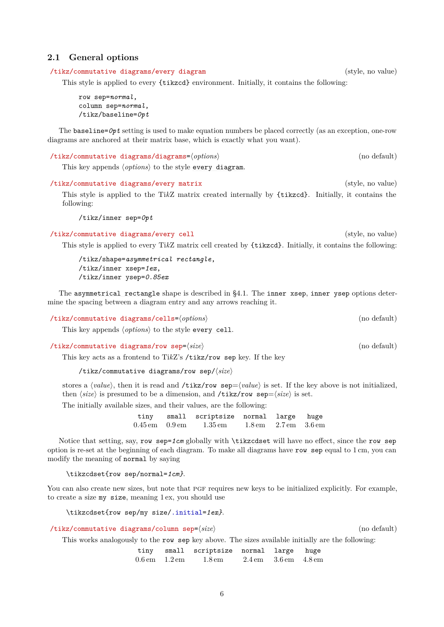#### <span id="page-5-6"></span><span id="page-5-0"></span>**2.1 General options**

<span id="page-5-2"></span>/tikz/commutative diagrams/every diagram (style, no value)

This style is applied to every [{tikzcd}](#page-1-3) environment. Initially, it contains the following:

[row sep=](#page-5-4)*normal*, [column sep=](#page-5-1)*normal*, /tikz/baseline=*0pt*

The baseline=*0pt* setting is used to make equation numbers be placed correctly (as an exception, one-row diagrams are anchored at their matrix base, which is exactly what you want).

/tikz/commutative diagrams/diagrams= $\langle options \rangle$  (no default)

This key appends  $\langle options \rangle$  to the style [every diagram](#page-5-2).

/tikz/commutative diagrams/every matrix (style, no value) This style is applied to the Ti*k*Z matrix created internally by [{tikzcd}](#page-1-3). Initially, it contains the following:

/tikz/inner sep=*0pt*

<span id="page-5-3"></span>/tikz/commutative diagrams/every cell (style, no value)

This style is applied to every Ti*k*Z matrix cell created by [{tikzcd}](#page-1-3). Initially, it contains the following:

/tikz/shape=*asymmetrical rectangle*, /tikz/inner xsep=*1ex*, /tikz/inner ysep=*0.85ex*

The [asymmetrical rectangle](#page-13-2) shape is described in [§4.1.](#page-13-1) The inner xsep, inner ysep options determine the spacing between a diagram entry and any arrows reaching it.

<span id="page-5-5"></span>/tikz/commutative diagrams/cells= $\langle options \rangle$  (no default)

This key appends  $\langle options \rangle$  to the style [every cell](#page-5-3).

<span id="page-5-4"></span>/tikz/commutative diagrams/row sep= $\langle size \rangle$  (no default)

This key acts as a frontend to Ti*k*Z's /tikz/row sep key. If the key

/tikz/commutative diagrams/row sep/ $\langle size \rangle$ 

stores a *(value)*, then it is read and **/tikz/row sep**= $\langle value \rangle$  is set. If the key above is not initialized, then  $\langle size \rangle$  is presumed to be a dimension, and **/tikz/row sep**= $\langle size \rangle$  is set.

The initially available sizes, and their values, are the following:

tiny small scriptsize normal large huge 0.45 em 0.9 em 1.35 em 1.8 em 2.7 em 3.6 em

Notice that setting, say, [row sep=](#page-5-4)*1cm* globally with [\tikzcdset](#page-4-3) will have no effect, since the [row sep](#page-5-4) option is re-set at the beginning of each diagram. To make all diagrams have [row sep](#page-5-4) equal to 1 cm, you can modify the meaning of normal by saying

[\tikzcdset{](#page-4-3)row sep/normal=*1cm}*.

You can also create new sizes, but note that PGF requires new keys to be initialized explicitly. For example, to create a size my size, meaning 1 ex, you should use

[\tikzcdset{](#page-4-3)row sep/my size/.initial=*1ex}*.

<span id="page-5-1"></span>/tikz/commutative diagrams/column sep=h*size*i (no default)

This works analogously to the [row sep](#page-5-4) key above. The sizes available initially are the following:

tiny small scriptsize normal large huge 0.6 em 1.2 em 1.8 em 2.4 em 3.6 em 4.8 em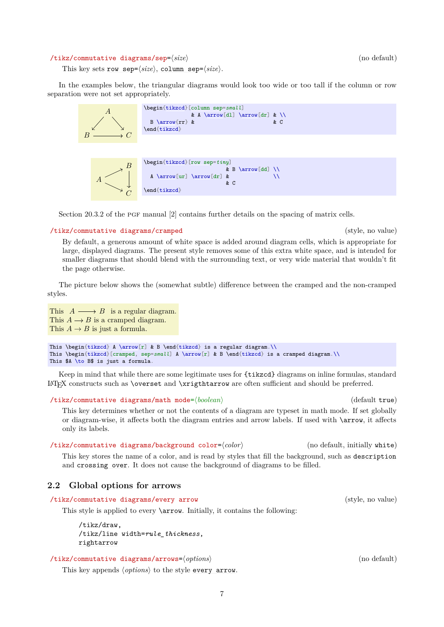#### <span id="page-6-5"></span><span id="page-6-3"></span>/tikz/commutative diagrams/sep=h*size*i (no default)

This key sets [row sep=](#page-5-4) $\langle size \rangle$ , [column sep=](#page-5-1) $\langle size \rangle$ .

In the examples below, the triangular diagrams would look too wide or too tall if the column or row separation were not set appropriately.



Section  $20.3.2$  of the PGF manual  $[2]$  contains further details on the spacing of matrix cells.

#### <span id="page-6-2"></span>/tikz/commutative diagrams/cramped (style, no value)

By default, a generous amount of white space is added around diagram cells, which is appropriate for large, displayed diagrams. The present style removes some of this extra white space, and is intended for smaller diagrams that should blend with the surrounding text, or very wide material that wouldn't fit the page otherwise.

The picture below shows the (somewhat subtle) difference between the cramped and the non-cramped styles.

This  $A \longrightarrow B$  is a regular diagram. This  $A \longrightarrow B$  is a cramped diagram. This  $A \rightarrow B$  is just a formula.

```
{tikzcd}\arrow[r] & B \end{tikzcd} is a regular diagram.\\
This \begin{tikzcd}[cramped, sep=small] A \arrow[r] & B \end{tikzcd} is a cramped diagram.\\
This $A \to B$ is just a formula.
```
Keep in mind that while there are some legitimate uses for [{tikzcd}](#page-1-3) diagrams on inline formulas, standard LATEX constructs such as \overset and \xrigthtarrow are often sufficient and should be preferred.

/tikz/commutative diagrams/math mode=h*boolean*i (default true)

This key determines whether or not the contents of a diagram are typeset in math mode. If set globally or diagram-wise, it affects both the diagram entries and arrow labels. If used with [\arrow](#page-1-2), it affects only its labels.

<span id="page-6-4"></span>/tikz/commutative diagrams/background color=h*color*i (no default, initially white) This key stores the name of a color, and is read by styles that fill the background, such as [description](#page-10-3) and [crossing over](#page-9-1). It does not cause the background of diagrams to be filled.

#### <span id="page-6-0"></span>**2.2 Global options for arrows**

<span id="page-6-1"></span>/tikz/commutative diagrams/every arrow (style, no value)

This style is applied to every [\arrow](#page-1-2). Initially, it contains the following:

/tikz/draw, /tikz/line width=*rule\_thickness*, [rightarrow](#page-2-1)

/tikz/commutative diagrams/arrows=h*options*i (no default)

This key appends  $\langle options \rangle$  to the style [every arrow](#page-6-1).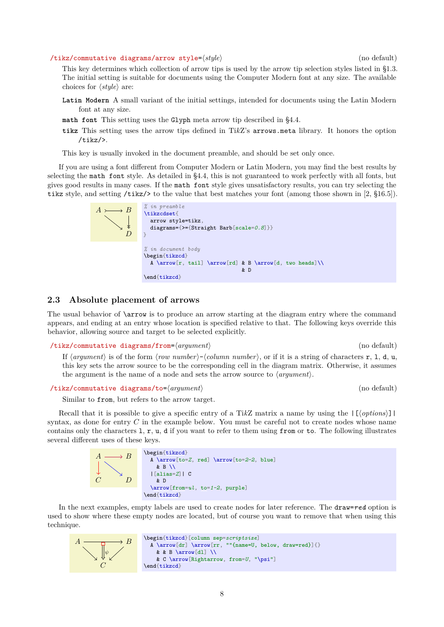<span id="page-7-4"></span><span id="page-7-3"></span>/tikz/commutative diagrams/arrow style= $\langle style\rangle$  (no default)

This key determines which collection of arrow tips is used by the arrow tip selection styles listed in [§1.3.](#page-2-0) The initial setting is suitable for documents using the Computer Modern font at any size. The available choices for  $\langle style\rangle$  are:

- **Latin Modern** A small variant of the initial settings, intended for documents using the Latin Modern font at any size.
- **math font** This setting uses the Glyph meta arrow tip described in [§4.4.](#page-14-2)
- **tikz** This setting uses the arrow tips defined in Ti*k*Z's arrows.meta library. It honors the option /tikz/>.

This key is usually invoked in the document preamble, and should be set only once.

If you are using a font different from Computer Modern or Latin Modern, you may find the best results by selecting the math font style. As detailed in [§4.4,](#page-14-2) this is not guaranteed to work perfectly with all fonts, but gives good results in many cases. If the math font style gives unsatisfactory results, you can try selecting the tikz style, and setting /tikz/> to the value that best matches your font (among those shown in [\[2,](#page-15-0) §16.5]).

| $A \rightarrow B$<br>∖ | % in preamble<br>\tikzcdset{<br>arrow style=tikz,<br>diagrams={>={Straight Barb[scale=0.8]}}                              |
|------------------------|---------------------------------------------------------------------------------------------------------------------------|
|                        | % in document body<br>\begin{tikzcd}<br>A \arrow[r, tail] \arrow[rd] & B \arrow[d, two heads] \\<br>& D<br>$\end{tikzcd}$ |

#### <span id="page-7-0"></span>**2.3 Absolute placement of arrows**

The usual behavior of [\arrow](#page-1-2) is to produce an arrow starting at the diagram entry where the command appears, and ending at an entry whose location is specified relative to that. The following keys override this behavior, allowing source and target to be selected explicitly.

#### <span id="page-7-1"></span>/tikz/commutative diagrams/from= $\langle argument \rangle$  (no default)

If  $\langle$ *argument* $\rangle$  is of the form  $\langle$ *row number* $\rangle$ - $\langle$ *column number* $\rangle$ , or if it is a string of characters r, l, d, u, this key sets the arrow source to be the corresponding cell in the diagram matrix. Otherwise, it assumes the argument is the name of a node and sets the arrow source to  $\langle argument \rangle$ .

```
/tikz/commutative diagrams/to=hargumenti (no default)
```
Similar to [from](#page-7-1), but refers to the arrow target.

Recall that it is possible to give a specific entry of a TikZ matrix a name by using the  $\lfloor \frac{\delta v}{\delta n s} \rfloor$ syntax, as done for entry  $C$  in the example below. You must be careful not to create nodes whose name contains only the characters  $1, r, u, d$  if you want to refer to them using [from](#page-7-1) or [to](#page-7-2). The following illustrates several different uses of these keys.



In the next examples, empty labels are used to create nodes for later reference. The draw=*red* option is used to show where these empty nodes are located, but of course you want to remove that when using this technique.

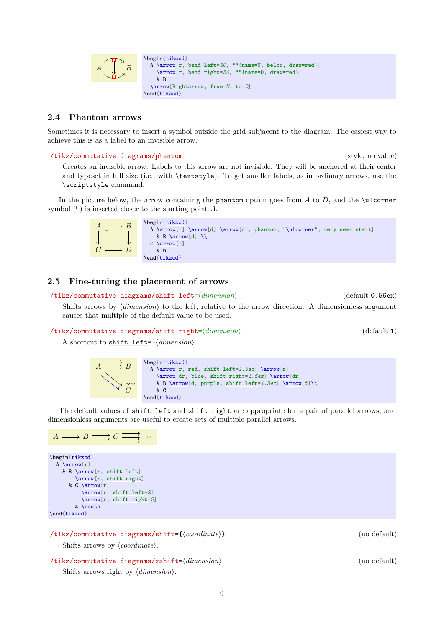<span id="page-8-6"></span>

#### <span id="page-8-0"></span>**2.4 Phantom arrows**

Sometimes it is necessary to insert a symbol outside the grid subjacent to the diagram. The easiest way to achieve this is as a label to an invisible arrow.

<span id="page-8-2"></span>/tikz/commutative diagrams/phantom (style, no value)

Creates an invisible arrow. Labels to this arrow are not invisible. They will be anchored at their center and typeset in full size (i.e., with \textstyle). To get smaller labels, as in ordinary arrows, use the \scriptstyle command.

In the picture below, the arrow containing the [phantom](#page-8-2) option goes from  $A$  to  $D$ , and the \ulcorner symbol  $(\ulcorner)$  is inserted closer to the starting point A.



#### <span id="page-8-1"></span>**2.5 Fine-tuning the placement of arrows**

<span id="page-8-3"></span>/tikz/commutative diagrams/shift left= $\langle dimension \rangle$  (default 0.56ex) Shifts arrows by  $\langle dimension \rangle$  to the left, relative to the arrow direction. A dimensionless argument causes that multiple of the default value to be used.

<span id="page-8-4"></span>/tikz/commutative diagrams/shift right= $\langle dimension \rangle$  (default 1)

A shortcut to [shift left=](#page-8-3) $-\langle$ *dimension* $\rangle$ .



The default values of [shift left](#page-8-3) and [shift right](#page-8-4) are appropriate for a pair of parallel arrows, and dimensionless arguments are useful to create sets of multiple parallel arrows.

$$
A \longrightarrow B \longrightarrow C \longrightarrow \cdots
$$

```
\begin{tikzcd}
  A \arrow[r]
    & B \arrow[r, shift left]
        \arrow[r, shift right]
      & C \arrow[r]
          \arrow[r, shift left=2]
          \arrow[r, shift right=2]
        & \cdots
\end{tikzcd}
```
/tikz/commutative diagrams/shift={h*coordinate*i} (no default) Shifts arrows by  $\langle coordinate \rangle$ .

<span id="page-8-5"></span> $\langle$ tikz/commutative diagrams/xshift= $\langle$ *dimension* $\rangle$  (no default) Shifts arrows right by  $\langle$  *dimension* $\rangle$ .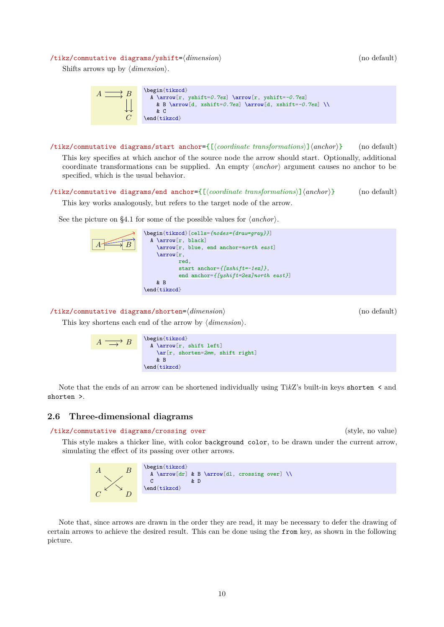#### <span id="page-9-6"></span><span id="page-9-2"></span>/tikz/commutative diagrams/yshift= $\langle dimension \rangle$  (no default)

Shifts arrows up by  $\langle dimension \rangle$ .



<span id="page-9-4"></span>/tikz/commutative diagrams/start anchor={[ $\langle coordinates\rangle$ ]  $\langle anchor\rangle$ } (no default) This key specifies at which anchor of the source node the arrow should start. Optionally, additional coordinate transformations can be supplied. An empty  $\langle anchor \rangle$  argument causes no anchor to be specified, which is the usual behavior.

<span id="page-9-3"></span>/tikz/commutative diagrams/end anchor={[ $\langle$ coordinate transformations}] $\langle$ anchor}} (no default)

This key works analogously, but refers to the target node of the arrow.

See the picture on [§4.1](#page-13-1) for some of the possible values for  $\langle anchor \rangle$ .

| $\begin{bmatrix} \texttt{tikzcd} & \texttt{[cells=} \textit{nodes=} \textit{draw=} \textit{gray} \} \end{bmatrix}$ |
|--------------------------------------------------------------------------------------------------------------------|
| A \arrow[r black]                                                                                                  |
| $\arrow[r, blue, end anchor=north east]$                                                                           |
| $\arrow[r]$                                                                                                        |
| red.                                                                                                               |
| start anchor= $\{[x\sin i\,t=-1ex]\},\$                                                                            |
| end anchor= $\{ [yshift=2ex]$ north east}]                                                                         |
| & <sub>B</sub>                                                                                                     |
| \end{tikzcd}                                                                                                       |
|                                                                                                                    |

<span id="page-9-5"></span>/tikz/commutative diagrams/shorten= $\langle$ *dimension*} (no default)

This key shortens each end of the arrow by  $\langle$  *dimension* $\rangle$ .

$$
A \longrightarrow B
$$
\n
$$
\xrightarrow{A \arrow} B
$$
\n
$$
\xrightarrow{A \arrow} B
$$
\n
$$
\xrightarrow{F, \text{shift left}}
$$
\n
$$
\xrightarrow{B}
$$
\n
$$
\xrightarrow{B}
$$
\n
$$
\xrightarrow{B}
$$
\n
$$
\xrightarrow{B}
$$

Note that the ends of an arrow can be shortened individually using Ti*k*Z's built-in keys shorten < and shorten >.

#### <span id="page-9-0"></span>**2.6 Three-dimensional diagrams**

<span id="page-9-1"></span>/tikz/commutative diagrams/crossing over (style, no value)

This style makes a thicker line, with color [background color](#page-6-4), to be drawn under the current arrow, simulating the effect of its passing over other arrows.



Note that, since arrows are drawn in the order they are read, it may be necessary to defer the drawing of certain arrows to achieve the desired result. This can be done using the [from](#page-7-1) key, as shown in the following picture.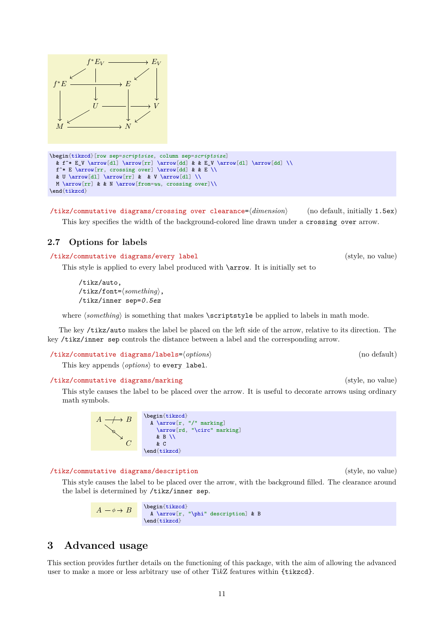

 $\rightarrow E_V$ 

/tikz/commutative diagrams/crossing over clearance=h*dimension*i (no default, initially 1.5ex) This key specifies the width of the background-colored line drawn under a [crossing over](#page-9-1) arrow.

### <span id="page-10-0"></span>**2.7 Options for labels**

 $f^*E_V$ 

\* $E \longrightarrow E$ 

 $M \xrightarrow{\sim} N$ 

<span id="page-10-4"></span>f

<span id="page-10-2"></span>/tikz/commutative diagrams/every label (style, no value)

 $U \longrightarrow V$ 

This style is applied to every label produced with [\arrow](#page-1-2). It is initially set to

/tikz/auto, /tikz/font= $\langle something \rangle$ , /tikz/inner sep=*0.5ex*

where  $\langle something \rangle$  is something that makes  $\scriptstyle\setminus$  scriptstyle be applied to labels in math mode.

The key /tikz/auto makes the label be placed on the left side of the arrow, relative to its direction. The key /tikz/inner sep controls the distance between a label and the corresponding arrow.

/tikz/commutative diagrams/labels= $\langle options \rangle$  (no default)

This key appends *(options)* to [every label](#page-10-2).

#### /tikz/commutative diagrams/marking (style, no value)

 $A \longrightarrow B$ 

/ ◦

This style causes the label to be placed over the arrow. It is useful to decorate arrows using ordinary math symbols.

<span id="page-10-3"></span>

| /tikz/commutative diagrams/description |  |                                                       | (style, no value) |  |
|----------------------------------------|--|-------------------------------------------------------|-------------------|--|
|                                        |  | $\cdots$ $\cdots$ $\cdots$ $\cdots$ $\cdots$ $\cdots$ |                   |  |

 $\mathcal{C}_{0}^{(n)}$ 

This style causes the label to be placed over the arrow, with the background filled. The clearance around the label is determined by /tikz/inner sep.



\begin[{tikzcd}](#page-1-3)

& B \\ & C \end[{tikzcd}](#page-1-3)

A [\arrow\[](#page-1-2)r, "/" marking] [\arrow\[](#page-1-2)rd, "\circ" marking]

# <span id="page-10-1"></span>**3 Advanced usage**

This section provides further details on the functioning of this package, with the aim of allowing the advanced user to make a more or less arbitrary use of other Ti*k*Z features within [{tikzcd}](#page-1-3).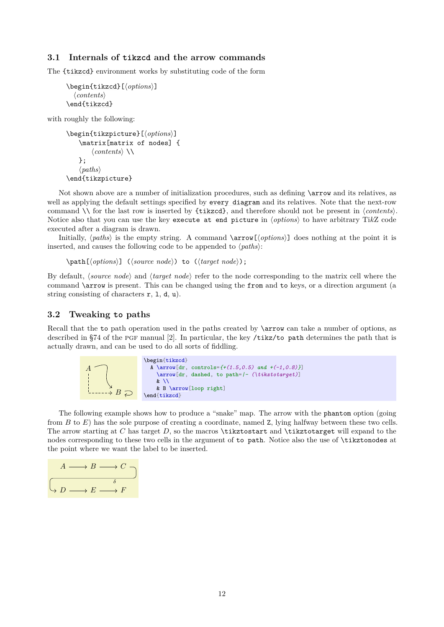#### <span id="page-11-0"></span>**3.1 Internals of tikzcd and the arrow commands**

The [{tikzcd}](#page-1-3) environment works by substituting code of the form

```
{tikzcd}[\options)]
  hcontentsi
\end{tikzcd}
```
with roughly the following:

```
\begin{tikzpicture}[\langle options \rangle]
     \matrix[matrix of nodes] {
           \langle \textit{contents} \rangle \setminus};
     \langle paths \rangle\end{tikzpicture}
```
Not shown above are a number of initialization procedures, such as defining **[\arrow](#page-1-2)** and its relatives, as well as applying the default settings specified by [every diagram](#page-5-2) and its relatives. Note that the next-row command  $\setminus$  for the last row is inserted by [{tikzcd}](#page-1-3), and therefore should not be present in *(contents)*. Notice also that you can use the key execute at end picture in h*options*i to have arbitrary Ti*k*Z code executed after a diagram is drawn.

Initially,  $\langle paths \rangle$  is the empty string. A command  $\arccos[\langle options \rangle]$  does nothing at the point it is inserted, and causes the following code to be appended to  $\langle paths \rangle$ :

\path[\*options*\] (\*source node*\) to (\target node\);

By default, *(source node)* and *(target node)* refer to the node corresponding to the matrix cell where the command [\arrow](#page-1-2) is present. This can be changed using the [from](#page-7-1) and [to](#page-7-2) keys, or a direction argument (a string consisting of characters  $r$ ,  $l$ ,  $d$ ,  $u$ ).

#### <span id="page-11-1"></span>**3.2 Tweaking to paths**

Recall that the to path operation used in the paths created by  $\arrow$  row can take a number of options, as described in §74 of the pgf manual [\[2\]](#page-15-0). In particular, the key /tikz/to path determines the path that is actually drawn, and can be used to do all sorts of fiddling.



The following example shows how to produce a "snake" map. The arrow with the [phantom](#page-8-2) option (going from B to E) has the sole purpose of creating a coordinate, named Z, lying halfway between these two cells. The arrow starting at C has target D, so the macros \tikztostart and \tikztotarget will expand to the nodes corresponding to these two cells in the argument of to path. Notice also the use of \tikztonodes at the point where we want the label to be inserted.

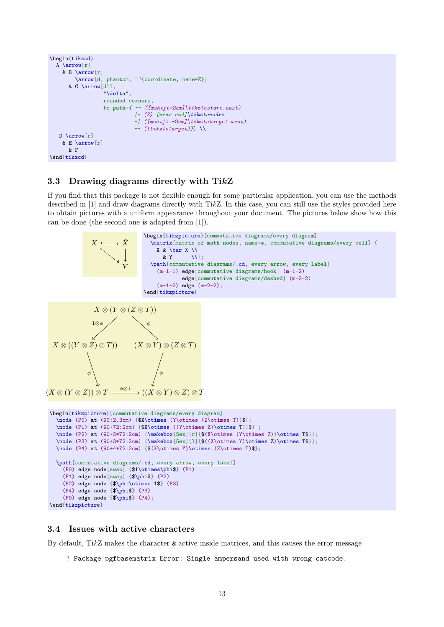```
\begin{tikzcd}
  A \arrow[r]
    & B \arrow[r]
        \arrow[d, phantom, ""{coordinate, name=Z}]
      & C \arrow[dll,
                 "\delta",
                 rounded corners,
                 to path={ -- ([xshift=2ex]\tikztostart.east)
                           |- (Z) [near end]\tikztonodes
                           -| ([xshift=-2ex]\tikztotarget.west)
                           -- (\tikztotarget)}] \\
   \arrow[r]
    & E \arrow[r]
      & F
\end{tikzcd}
```
#### <span id="page-12-0"></span>**3.3 Drawing diagrams directly with Ti***k***Z**

If you find that this package is not flexible enough for some particular application, you can use the methods described in [\[1\]](#page-15-1) and draw diagrams directly with Ti*k*Z. In this case, you can still use the styles provided here to obtain pictures with a uniform appearance throughout your document. The pictures below show how this can be done (the second one is adapted from [\[1\]](#page-15-1)).



```
\end{tikzpicture}
```
#### <span id="page-12-1"></span>**3.4 Issues with active characters**

By default, Ti*k*Z makes the character & active inside matrices, and this causes the error message

! Package pgfbasematrix Error: Single ampersand used with wrong catcode.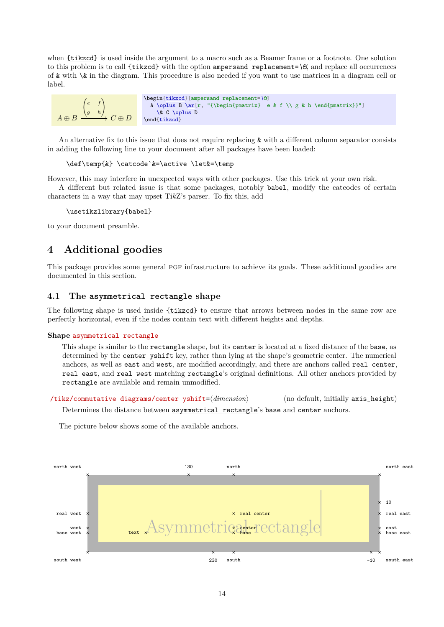<span id="page-13-4"></span>when [{tikzcd}](#page-1-3) is used inside the argument to a macro such as a Beamer frame or a footnote. One solution to this problem is to call [{tikzcd}](#page-1-3) with the option ampersand replacement=*\&*, and replace all occurrences of & with \& in the diagram. This procedure is also needed if you want to use matrices in a diagram cell or label.



An alternative fix to this issue that does not require replacing & with a different column separator consists in adding the following line to your document after all packages have been loaded:

\def\temp{&} \catcode`&=\active \let&=\temp

However, this may interfere in unexpected ways with other packages. Use this trick at your own risk.

A different but related issue is that some packages, notably babel, modify the catcodes of certain characters in a way that may upset Ti*k*Z's parser. To fix this, add

\usetikzlibrary{babel}

to your document preamble.

# <span id="page-13-0"></span>**4 Additional goodies**

This package provides some general PGF infrastructure to achieve its goals. These additional goodies are documented in this section.

#### <span id="page-13-1"></span>**4.1 The asymmetrical rectangle shape**

The following shape is used inside [{tikzcd}](#page-1-3) to ensure that arrows between nodes in the same row are perfectly horizontal, even if the nodes contain text with different heights and depths.

#### <span id="page-13-2"></span>**Shape** asymmetrical rectangle

This shape is similar to the rectangle shape, but its center is located at a fixed distance of the base, as determined by the [center yshift](#page-13-3) key, rather than lying at the shape's geometric center. The numerical anchors, as well as east and west, are modified accordingly, and there are anchors called real center, real east, and real west matching rectangle's original definitions. All other anchors provided by rectangle are available and remain unmodified.

<span id="page-13-3"></span>/tikz/commutative diagrams/center yshift= $\langle$ *dimension*} (no default, initially axis height)

Determines the distance between [asymmetrical rectangle](#page-13-2)'s base and center anchors.

The picture below shows some of the available anchors.

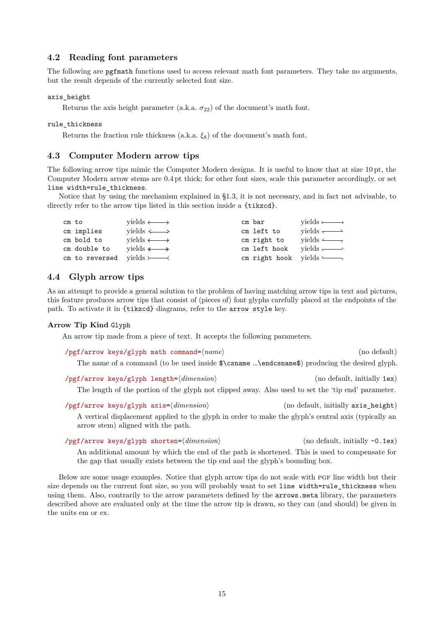#### <span id="page-14-6"></span><span id="page-14-0"></span>**4.2 Reading font parameters**

The following are pgfmath functions used to access relevant math font parameters. They take no arguments, but the result depends of the currently selected font size.

#### axis\_height

Returns the axis height parameter (a.k.a.  $\sigma_{22}$ ) of the document's math font.

#### rule\_thickness

Returns the fraction rule thickness (a.k.a.  $\xi_8$ ) of the document's math font.

#### <span id="page-14-1"></span>**4.3 Computer Modern arrow tips**

The following arrow tips mimic the Computer Modern designs. It is useful to know that at size 10 pt, the Computer Modern arrow stems are 0.4 pt thick; for other font sizes, scale this parameter accordingly, or set line width=rule\_thickness.

Notice that by using the mechanism explained in [§1.3,](#page-2-0) it is not necessary, and in fact not advisable, to directly refer to the arrow tips listed in this section inside a  $\{\texttt{tikzcd}\}.$  $\{\texttt{tikzcd}\}.$  $\{\texttt{tikzcd}\}.$ 

| cm to |                                     | yields $\longleftrightarrow$ | cm bar                                | $vields$ $\longrightarrow$ |
|-------|-------------------------------------|------------------------------|---------------------------------------|----------------------------|
|       | cm implies                          | yields $\iff$                | cm left to                            | vields $\longrightarrow$   |
|       | cm bold to                          | vields $\longleftrightarrow$ | cm right to                           | vields $\longrightarrow$   |
|       | cm double to                        | vields $\longleftrightarrow$ | cm left hook yields $\longrightarrow$ |                            |
|       | cm to reversed yields $\rightarrow$ |                              | cm right hook yields $\longleftarrow$ |                            |

#### <span id="page-14-2"></span>**4.4 Glyph arrow tips**

As an attempt to provide a general solution to the problem of having matching arrow tips in text and pictures, this feature produces arrow tips that consist of (pieces of) font glyphs carefully placed at the endpoints of the path. To activate it in [{tikzcd}](#page-1-3) diagrams, refer to the [arrow style](#page-7-3) key.

#### **Arrow Tip Kind** Glyph

An arrow tip made from a piece of text. It accepts the following parameters.

<span id="page-14-4"></span><span id="page-14-3"></span>/pgf/arrow keys/glyph math command= $\langle name \rangle$  (no default) The name of a command (to be used inside \$\csname …\endcsname\$) producing the desired glyph. /pgf/arrow keys/glyph length= $\langle dimension \rangle$  (no default, initially 1ex) The length of the portion of the glyph not clipped away. Also used to set the 'tip end' parameter. /pgf/arrow keys/glyph axis=(*dimension*) (no default, initially axis height)

<span id="page-14-5"></span>A vertical displacement applied to the glyph in order to make the glyph's central axis (typically an arrow stem) aligned with the path.

/pgf/arrow keys/glyph shorten= $\langle dimension \rangle$  (no default, initially -0.1ex) An additional amount by which the end of the path is shortened. This is used to compensate for the gap that usually exists between the tip end and the glyph's bounding box.

Below are some usage examples. Notice that glyph arrow tips do not scale with PGF line width but their size depends on the current font size, so you will probably want to set line width=rule\_thickness when using them. Also, contrarily to the arrow parameters defined by the arrows.meta library, the parameters described above are evaluated only at the time the arrow tip is drawn, so they can (and should) be given in the units em or ex.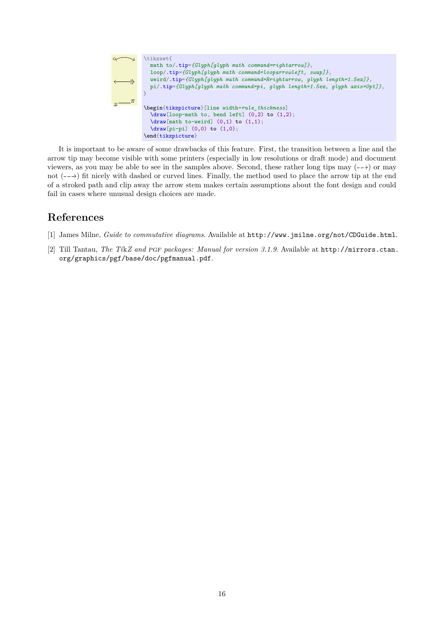

It is important to be aware of some drawbacks of this feature. First, the transition between a line and the arrow tip may become visible with some printers (especially in low resolutions or draft mode) and document viewers, as you may be able to see in the samples above. Second, these rather long tips may  $(-\rightarrow)$  or may not  $(-\rightarrow)$  fit nicely with dashed or curved lines. Finally, the method used to place the arrow tip at the end of a stroked path and clip away the arrow stem makes certain assumptions about the font design and could fail in cases where unusual design choices are made.

# **References**

- <span id="page-15-1"></span>[1] James Milne, *Guide to commutative diagrams*. Available at <http://www.jmilne.org/not/CDGuide.html>.
- <span id="page-15-0"></span>[2] Till Tantau, *The Ti*k*Z and* pgf *packages: Manual for version 3.1.9*. Available at [http://mirrors.ctan.](http://mirrors.ctan.org/graphics/pgf/base/doc/pgfmanual.pdf) [org/graphics/pgf/base/doc/pgfmanual.pdf](http://mirrors.ctan.org/graphics/pgf/base/doc/pgfmanual.pdf).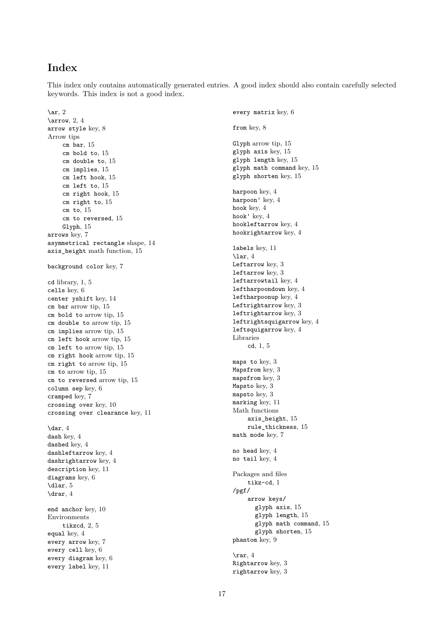# <span id="page-16-0"></span>**Index**

This index only contains automatically generated entries. A good index should also contain carefully selected keywords. This index is not a good index.

 $\ar, 2$  $\ar, 2$  $\arrow$ , [2,](#page-1-5) [4](#page-3-6) arrow style key, [8](#page-7-4) Arrow tips cm bar, [15](#page-14-6) cm bold to, [15](#page-14-6) cm double to, [15](#page-14-6) cm implies, [15](#page-14-6) cm left hook, [15](#page-14-6) cm left to, [15](#page-14-6) cm right hook, [15](#page-14-6) cm right to, [15](#page-14-6) cm to, [15](#page-14-6) cm to reversed, [15](#page-14-6) Glyph, [15](#page-14-6) arrows key, [7](#page-6-5) asymmetrical rectangle shape, [14](#page-13-4) axis height math function, [15](#page-14-6) background color key, [7](#page-6-5) cd library, [1,](#page-0-1) [5](#page-4-4) cells key, [6](#page-5-6) center yshift key, [14](#page-13-4) cm bar arrow tip, [15](#page-14-6) cm bold to arrow tip, [15](#page-14-6) cm double to arrow tip, [15](#page-14-6) cm implies arrow tip, [15](#page-14-6) cm left hook arrow tip, [15](#page-14-6) cm left to arrow tip, [15](#page-14-6) cm right hook arrow tip, [15](#page-14-6) cm right to arrow tip, [15](#page-14-6) cm to arrow tip, [15](#page-14-6) cm to reversed arrow tip, [15](#page-14-6) column sep key, [6](#page-5-6) cramped key, [7](#page-6-5) crossing over key, [10](#page-9-6) crossing over clearance key, [11](#page-10-4)  $\ar, 4$  $\ar, 4$ dash key, [4](#page-3-6) dashed key, [4](#page-3-6) dashleftarrow key, [4](#page-3-6) dashrightarrow key, [4](#page-3-6) description key, [11](#page-10-4) diagrams key, [6](#page-5-6) \dlar,  $5$  $\ar{4}$ end anchor key, [10](#page-9-6) Environments tikzcd, [2,](#page-1-5) [5](#page-4-4) equal key, [4](#page-3-6) every arrow key, [7](#page-6-5) every cell key, [6](#page-5-6) every diagram key, [6](#page-5-6) every label key, [11](#page-10-4)

every matrix key, [6](#page-5-6) from key, [8](#page-7-4) Glyph arrow tip, [15](#page-14-6) glyph axis key, [15](#page-14-6) glyph length key, [15](#page-14-6) glyph math command key, [15](#page-14-6) glyph shorten key, [15](#page-14-6) harpoon key, [4](#page-3-6) harpoon' key, [4](#page-3-6) hook key, [4](#page-3-6) hook' key, [4](#page-3-6) hookleftarrow key, [4](#page-3-6) hookrightarrow key, [4](#page-3-6) labels key, [11](#page-10-4)  $\ar, 4$  $\ar, 4$ Leftarrow key, [3](#page-2-3) leftarrow key, [3](#page-2-3) leftarrowtail key, [4](#page-3-6) leftharpoondown key, [4](#page-3-6) leftharpoonup key, [4](#page-3-6) Leftrightarrow key, [3](#page-2-3) leftrightarrow key, [3](#page-2-3) leftrightsquigarrow key, [4](#page-3-6) leftsquigarrow key, [4](#page-3-6) Libraries cd, [1,](#page-0-1) [5](#page-4-4) maps to key, [3](#page-2-3) Mapsfrom key, [3](#page-2-3) mapsfrom key, [3](#page-2-3) Mapsto key, [3](#page-2-3) mapsto key, [3](#page-2-3) marking key, [11](#page-10-4) Math functions axis\_height, [15](#page-14-6) rule\_thickness, [15](#page-14-6) math mode key, [7](#page-6-5) no head key, [4](#page-3-6) no tail key, [4](#page-3-6) Packages and files tikz-cd, [1](#page-0-1) /pgf/ arrow keys/ glyph axis, [15](#page-14-6) glyph length, [15](#page-14-6) glyph math command, [15](#page-14-6) glyph shorten, [15](#page-14-6) phantom key, [9](#page-8-6)  $\ar, 4$  $\ar, 4$ Rightarrow key, [3](#page-2-3) rightarrow key, [3](#page-2-3)